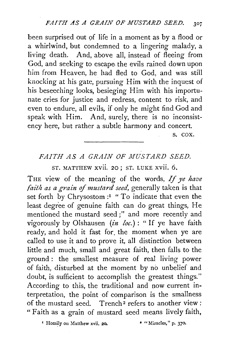been surprised out of life in a moment as by a flood or a whirlwind, but condemned to a lingering malady, a living death. And, above all, instead of fleeing from God, and seeking to escape the evils rained down upon him from Heaven, he had fled to God, and was still knocking at his gate, pursuing Him with the inquest of his beseeching looks, besieging Him with his importunate cries for justice and redress, content to risk, and even to endure, all evils, if only he might find God and speak with Him. And, surely, there is no inconsistency here, but rather a subtle harmony and concert.

s. cox.

## FAITH AS A GRAIN OF MUSTARD SEED.

ST. MATTHEW XVII. 20: ST. LUKE XVII. 6.

THE view of the meaning of the words, *If ye have faith as a grain* of *mustard seed,* generally taken is that set forth by Chrysostom :1 "To indicate that even the least degree of genuine faith can do great things, He mentioned the mustard seed;" and more recently and vigorously by Olshausen *(in loc.)* : "If ye have faith ready, and hold it fast for. the moment when ye are called to use it and to prove it, all distinction between little and much, small and great faith, then falls to the ground : the smallest measure of real living power of faith, disturbed at the moment by no unbelief and doubt, is sufficient to accomplish the greatest things." According to this, the traditional and now current interpretation, the point of comparison is the smallness of the mustard seed. Trench 2 refers to another view *:*  "Faith as a grain of mustard seed means lively faith,

' Homily on Matthew xvii. 20. • "Miracles," p. 370.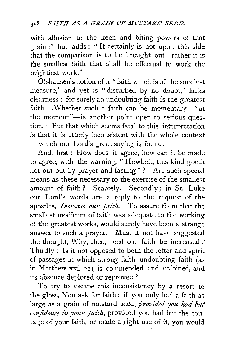with allusion to the keen and biting powers of that grain ;" but adds: " It certainly is not upon this side that the comparison is to be brought out; rather it is the smallest faith that shall be effectual to work the mightiest work."

Olshausen's notion of a "faith which is of the smallest measure," and yet is "disturbed by no doubt," lacks clearness ; for surely an undoubting faith is the greatest faith. Whether such a faith can be momentary-" at the moment"—is another point open to serious question. But that which seems fatal to this interpretation is that it is utterly inconsistent with the whole context in which our Lord's great saying is found.

And, first : How does it agree, how can it be made to agree, with the warning, " Howbeit, this kind goeth not out but by prayer and fasting" ? Are such special means as these necessary to the exercise of the smallest amount of faith? Scarcely. Secondly: in St. Luke our Lord's words are a reply to the request of the apostles, *Increase our faith.* To assure them that the smallest modicum of faith was adequate to the working of the greatest works, would surely have been a strange answer to such a prayer. Must it not have suggested the thought, Why, then, need our faith be increased? Thirdly : Is it not opposed to both the letter and spirit of passages in which strong faith, undoubting faith (as in Matthew xxi. 21), is commended and enjoined, and its absence deplored or reproved ? ·

To try to escape this inconsistency by a resort to the gloss, You ask for faith: if you only had a faith as large as a grain of mustard seed, *provided you had but* confidence in your faith, provided you had but the courage of your faith, or made a right use of it, you would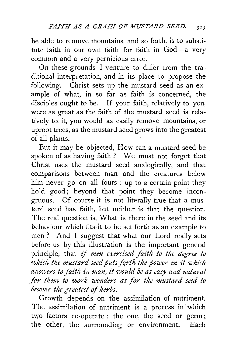be able to remove mountains, and so forth, is to substitute faith in our own faith for faith in God-a very common and a very pernicious error.

On these grounds I venture to differ from the traditional interpretation, and in its place to propose the following. Christ sets up the mustard seed as an example of what, in so far as faith is concerned, the disciples ought to be. If your faith, relatively to you, were as great as the faith of the mustard seed is relatively to. it, you would as easily remove mountains, or uproot trees, as the mustard seed grows into the greatest of all plants.

But it may be objected, How can a mustard seed be spoken of as having faith? We must not forget that Christ uses the mustard seed analogically, and that comparisons between man and the creatures below him never go on all fours : up to a certain point they hold good; beyond that point they become incongruous. Of course it is not literally true that a mustard seed has faith, but neither is that the question. The real question is, What is there in the seed and its behaviour which fits, it to be set forth as an example to men? And I suggest that what our Lord really sets before us by this illustration is the important general principle, that if *men exercised faith to the degree to*  which the mustard seed puts forth the power in it which *answers to faith in man, it would be as easy and natural for them to work wonders as for the mustard seed to become the greatest* of *herbs.* 

Growth depends on the assimilation of nutriment. The assimilation of nutriment is a process in which two factors co-operate : the one, the seed or germ ; the other, the surrounding or environment. Each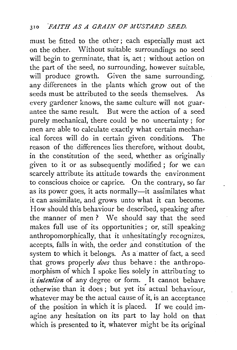must be fitted to the other; each especially must act on the other. Without suitable surroundings no seed will begin to germinate, that is, act; without action on the part of the seed, no surrounding, however suitable, will produce growth. Given the same surrounding, any differences in the plants which grow out of the seeds must be attributed to the seeds themselves. As every gardener knows, the same culture will not guarantee the same result. But were the action of a seed purely mechanical, there could be no uncertainty ; for men are able to calculate exactly what certain mechanical forces will do in certain given conditions. The reason of the differences lies therefore, without doubt, in the constitution of the seed, whether as originally given to it or as subsequently modified; for we can scarcely attribute its attitude towards the environment to conscious choice or caprice. On the contrary, so far as its power goes, it acts normally-it assimilates what it can assimilate, and grows unto what it can become. How should this behaviour be described, speaking after the manner of men ? We should say that the seed makes full use of its opportunities ; or, still speaking anthropomorphically, that it unhesitatingly recognizes, accepts, falls in with, the order and constitution of the system to which it belongs. As a matter of fact, a seed that grows properly *does* thus behave: the anthropomorphism of which I spoke lies solely in attributing to it *intention* of any degree or form. It cannot behave otherwise than it does; but yet its actual behaviour, whatever may be the actual cause of it, is an acceptance of the position in which it is placed. If we could imagine any hesitation on its part to lay hold on that which is presented to it, whatever might be its original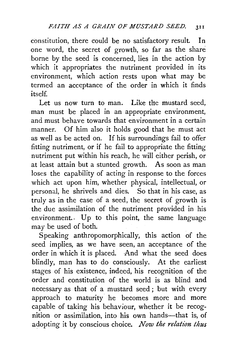constitution, there could be no satisfactory result. In one word, the secret of growth, so far as the share borne by the seed is concerned, lies in the action by which it appropriates the nutriment provided in its environment, which action rests upon what may be termed an acceptance of the order in which it finds itself.

Let us now turn to man. Like the mustard seed, man must be placed in an appropriate environment, and must behave towards that environment in a certain manner. Of him also it holds good that he must act as well as be acted on. If his surroundings fail to offer fitting nutriment, or if he fail to appropriate the fitting nutriment put within his reach, he will either perish, or at least attain but a stunted growth. As soon as man loses the capability of acting in response to the forces which act upon him, whether physical, intellectual, or personal, he shrivels and dies. So that in his case, as truly as in the case of a seed, the secret of growth is the due assimilation of the nutriment provided in his environment.. Up to this point, the same language may be used of both.

Speaking anthropomorphically, this action of the seed implies, as we have seen, an acceptance of the order in which it is placed. And what the seed does blindly, man has to do consciously. At the earliest stages of his existence, indeed, his recognition of the order and constitution of the world is as blind and necessary as that of a mustard seed; but with every approach to maturity he becomes more and more capable of taking his behaviour, whether it be recognition or assimilation, into his own hands-that is, of adopting it by conscious choice. *Now the relation thus*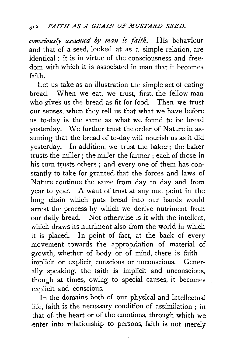*consciously assumed by man £s faith.* His behaviour and that of a seed, looked at as a simple relation, are identical : it is in virtue of the consciousness and freedom with which it is associated in man that it becomes faith.

Let us take as an illustration the simple act of eating bread. When we eat, we trust, first, the fellow-man who gives us the bread as fit for food. Then we trust our senses, when they tell us that what we have before us to-day is the same as what we found to be bread yesterday. We further trust the order of Nature in assuming that the bread of to-day will nourish us as it did yesterday. In addition, we trust the baker; the baker trusts the miller; the miller the farmer ; each of those in his turn trusts others; and every one of them has constantly to take for granted that the forces and laws of Nature continue the same from day to day and from year to year. A want of trust at any one point in the long chain which puts bread into our hands would arrest the process by which we derive nutriment from our daily bread. Not otherwise is it with the intellect, which draws its nutriment also from the world in which it is placed. In point of fact, at the back of every movement towards the appropriation of material of growth, whether of body or of mind, there is faithimplicit or explicit, conscious or unconscious. Generally speaking, the faith is implicit and unconscious, though at times, owing to special causes, it becomes explicit and conscious.

In the domains both of our physical and intellectual life, faith is the necessary condition of assimilation ; in that of the heart or of the emotions, through which we enter into relationship to persons, faith is not merely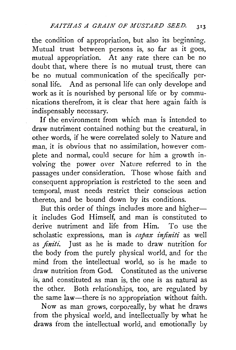the condition of appropriation, but also its beginning. Mutual trust between persons is, so far as it goes, mutual appropriation. At any rate there can be no doubt that, where there is no mutual trust, there can be no mutual communication of the specifically personal life. And as personal life can only develope and work as it is nourished by personal life or by communications therefrom, it is clear that here again faith is indispensably necessary.

If the environment from which man is intended to draw nutriment contained nothing but the creatural, in other words, if he were correlated solely to Nature and man, it is obvious that no assimilation, however complete and normal, could secure for him a growth involving the power over Nature referred to in the passages under consideration. Those whose faith and consequent appropriation is restricted to the seen and temporal, must needs restrict their conscious action thereto, and be bound down by its conditions.

But this order of things includes more and higherit includes God Himself, and man is constituted to derive nutriment and life from Him. To use the scholastic expressions, man is *capax infiniti* as well as *finiti*. Just as he is made to draw nutrition for the body from the purely physical world, and for the mind from the intellectual world, so is he made to draw nutrition from God. Constituted as the universe is, and constituted as man is, the one is as natural as the other. Both relationships, too, are regulated by the same law-there is no appropriation without faith.

Now as man grows, corpo:eally, by what he draws from the physical world, and intellectually by what he draws from the intellectual world, and emotionally by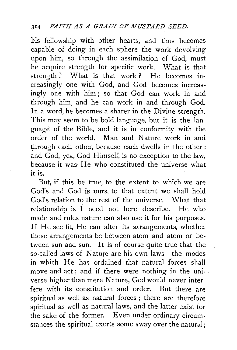his fellowship with other hearts, and thus becomes capable of doing in each sphere the work devolving upon him, so, through the assimilation of God, must he acquire strength for specific work. What is that strength? What is that work? He becomes increasingly one with God, and God becomes increasingly one with him; so that God can work in and through him, and he can work in and through God. In a word, he becomes a sharer in the Divine strength. This may seem to be bold language, but it is the language of the Bible, and it is in conformity with the order of the world. Man and Nature work in and through each other, because each dwells in the other; and God, yea, God Himself, is no exception to the law, because it was He who constituted the universe what it is.

But, if this be true, to the extent to which we are God's and God *is* ours, to that extent we shall hold God's relation to the rest of the universe. What that relationship is I need not here describe. He who made and rules nature can also use it for his purposes. If He see fit, He can alter its arrangements, whether those arrangements be between atom and atom or between sun and sun. It is of course quite true that the so-called laws of Nature are his own laws—the modes in which He has ordained that natural forces shall move and act ; and if there were nothing in the uni- . verse higher than mere Nature, God would never interfere with its constitution and order. But there are spiritual as well as natural forces ; there are therefore spiritual as well as natural laws, and the latter exist for the sake of the former. Even under ordinary circumstances the spiritual exerts some sway over the natural;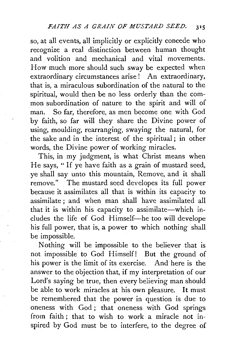so, at all events, all implicitly or explicitly concede who recognize a real distinction between human thought and volition and mechanical and vital movements. How much more should such sway be expected when extraordinary circumstances arise! An extraordinary, that is, a miraculous subordination of the natural to the spiritual, would then be no less orderly than the common subordination of nature to the spirit and will of man. So far, therefore, as men become one with God by faith, so far will they share the Divine power of using, moulding, rearranging, swaying the natural, for the sake and in the interest of the spiritual ; in other words, the Divine power of working miracles.

This, in my judgment, is what Christ means when He says, " If ye have faith as a grain of mustard seed, ye shall say unto this mountain, Remove, and it shall remove." The mustard seed developes its full power because it assimilates all that is within its capacity to assimilate ; and when man shall have assimilated all that it is within his capacity to assimilate—which includes the life of God Himself-he too will develope his full power, that is, a power to which nothing shall be impossible.

Nothing will be impossible to the believer that is not impossible to God Himself! But the ground of his power is the limit of its exercise. And here is the answer to the objection that, if my interpretation of our Lord's saying be true, then every believing man should be able to work miracles at his own pleasure. It must be remembered that the power in question is due to oneness with God ; that oneness with God springs from faith ; that to wish to work a miracle not inspired by God must be to interfere, to the degree of